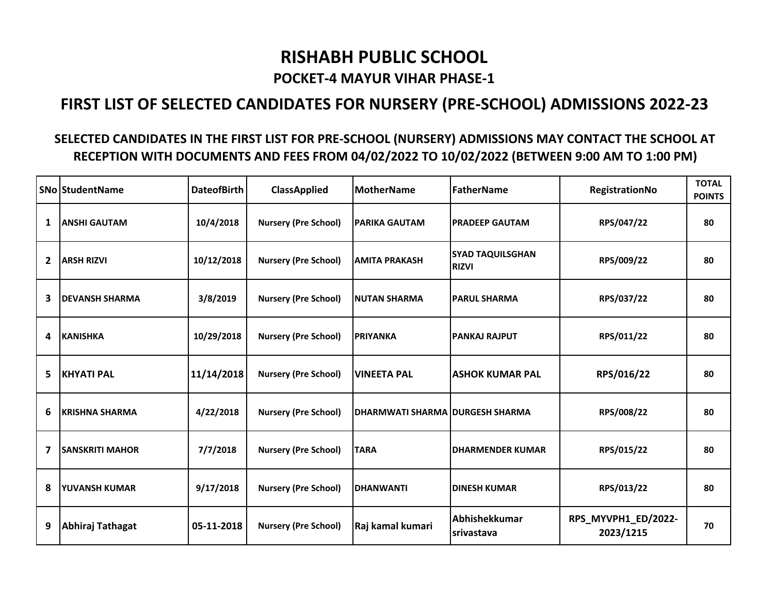## RISHABH PUBLIC SCHOOL

## POCKET-4 MAYUR VIHAR PHASE-1

## FIRST LIST OF SELECTED CANDIDATES FOR NURSERY (PRE-SCHOOL) ADMISSIONS 2022-23

## SELECTED CANDIDATES IN THE FIRST LIST FOR PRE-SCHOOL (NURSERY) ADMISSIONS MAY CONTACT THE SCHOOL AT RECEPTION WITH DOCUMENTS AND FEES FROM 04/02/2022 TO 10/02/2022 (BETWEEN 9:00 AM TO 1:00 PM)

|                | <b>SNo StudentName</b> | <b>DateofBirth</b> | <b>ClassApplied</b>         | <b>MotherName</b>               | <b>FatherName</b>                       | RegistrationNo                   | <b>TOTAL</b><br><b>POINTS</b> |
|----------------|------------------------|--------------------|-----------------------------|---------------------------------|-----------------------------------------|----------------------------------|-------------------------------|
| $\mathbf{1}$   | <b>ANSHI GAUTAM</b>    | 10/4/2018          | <b>Nursery (Pre School)</b> | <b>PARIKA GAUTAM</b>            | <b>PRADEEP GAUTAM</b>                   | RPS/047/22                       | 80                            |
| $\overline{2}$ | <b>ARSH RIZVI</b>      | 10/12/2018         | <b>Nursery (Pre School)</b> | <b>AMITA PRAKASH</b>            | <b>SYAD TAQUILSGHAN</b><br><b>RIZVI</b> | RPS/009/22                       | 80                            |
| 3              | <b>DEVANSH SHARMA</b>  | 3/8/2019           | <b>Nursery (Pre School)</b> | <b>NUTAN SHARMA</b>             | <b>PARUL SHARMA</b>                     | RPS/037/22                       | 80                            |
| 4              | <b>KANISHKA</b>        | 10/29/2018         | <b>Nursery (Pre School)</b> | <b>PRIYANKA</b>                 | <b>PANKAJ RAJPUT</b>                    | RPS/011/22                       | 80                            |
| 5              | <b>KHYATI PAL</b>      | 11/14/2018         | <b>Nursery (Pre School)</b> | <b>VINEETA PAL</b>              | <b>ASHOK KUMAR PAL</b>                  | RPS/016/22                       | 80                            |
| 6              | <b>KRISHNA SHARMA</b>  | 4/22/2018          | <b>Nursery (Pre School)</b> | DHARMWATI SHARMA DURGESH SHARMA |                                         | RPS/008/22                       | 80                            |
| 7              | <b>SANSKRITI MAHOR</b> | 7/7/2018           | <b>Nursery (Pre School)</b> | <b>TARA</b>                     | <b>DHARMENDER KUMAR</b>                 | RPS/015/22                       | 80                            |
| 8              | YUVANSH KUMAR          | 9/17/2018          | <b>Nursery (Pre School)</b> | <b>DHANWANTI</b>                | <b>DINESH KUMAR</b>                     | RPS/013/22                       | 80                            |
| 9              | Abhiraj Tathagat       | 05-11-2018         | <b>Nursery (Pre School)</b> | Raj kamal kumari                | Abhishekkumar<br>srivastava             | RPS_MYVPH1_ED/2022-<br>2023/1215 | 70                            |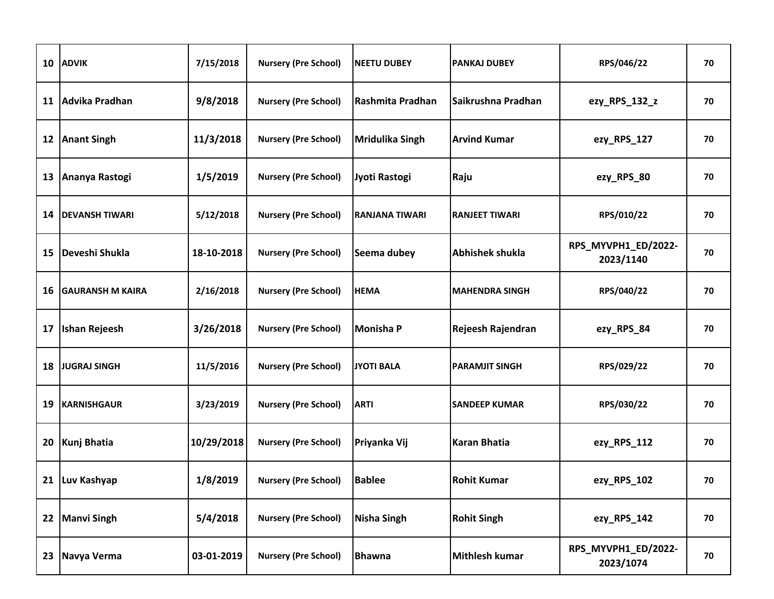| 10 | <b>ADVIK</b>            | 7/15/2018  | <b>Nursery (Pre School)</b>   | <b>NEETU DUBEY</b>     | <b>PANKAJ DUBEY</b>    | RPS/046/22                       | 70 |
|----|-------------------------|------------|-------------------------------|------------------------|------------------------|----------------------------------|----|
| 11 | Advika Pradhan          | 9/8/2018   | <b>Nursery (Pre School)</b>   | Rashmita Pradhan       | Saikrushna Pradhan     | ezy_RPS_132_z                    | 70 |
| 12 | <b>Anant Singh</b>      | 11/3/2018  | <b>Nursery (Pre School)</b>   | <b>Mridulika Singh</b> | <b>Arvind Kumar</b>    | ezy_RPS_127                      | 70 |
| 13 | Ananya Rastogi          | 1/5/2019   | <b>Nursery (Pre School)</b>   | Jyoti Rastogi          | Raju                   | ezy_RPS_80                       | 70 |
| 14 | <b>DEVANSH TIWARI</b>   | 5/12/2018  | <b>Nursery (Pre School)</b>   | <b>RANJANA TIWARI</b>  | <b>RANJEET TIWARI</b>  | RPS/010/22                       | 70 |
| 15 | Deveshi Shukla          | 18-10-2018 | <b>Nursery (Pre School)</b>   | Seema dubey            | <b>Abhishek shukla</b> | RPS_MYVPH1_ED/2022-<br>2023/1140 | 70 |
| 16 | <b>GAURANSH M KAIRA</b> | 2/16/2018  | <b>Nursery (Pre School)</b>   | <b>HEMA</b>            | <b>MAHENDRA SINGH</b>  | RPS/040/22                       | 70 |
| 17 | <b>Ishan Rejeesh</b>    | 3/26/2018  | <b>Nursery (Pre School)</b>   | <b>Monisha P</b>       | Rejeesh Rajendran      | ezy_RPS_84                       | 70 |
| 18 | <b>JUGRAJ SINGH</b>     | 11/5/2016  | <b>Nursery (Pre School)</b>   | <b>JYOTI BALA</b>      | <b>PARAMJIT SINGH</b>  | RPS/029/22                       | 70 |
| 19 | <b>KARNISHGAUR</b>      | 3/23/2019  | <b>Nursery (Pre School)</b>   | <b>ARTI</b>            | <b>SANDEEP KUMAR</b>   | RPS/030/22                       | 70 |
| 20 | <b>Kunj Bhatia</b>      | 10/29/2018 | <b>Nursery (Pre School)</b>   | Priyanka Vij           | <b>Karan Bhatia</b>    | ezy_RPS_112                      | 70 |
|    | 21 Luv Kashyap          | 1/8/2019   | Nursery (Pre School)   Bablee |                        | <b>Rohit Kumar</b>     | ezy_RPS_102                      | 70 |
| 22 | <b>Manvi Singh</b>      | 5/4/2018   | <b>Nursery (Pre School)</b>   | <b>Nisha Singh</b>     | <b>Rohit Singh</b>     | ezy_RPS_142                      | 70 |
| 23 | Navya Verma             | 03-01-2019 | <b>Nursery (Pre School)</b>   | <b>Bhawna</b>          | <b>Mithlesh kumar</b>  | RPS_MYVPH1_ED/2022-<br>2023/1074 | 70 |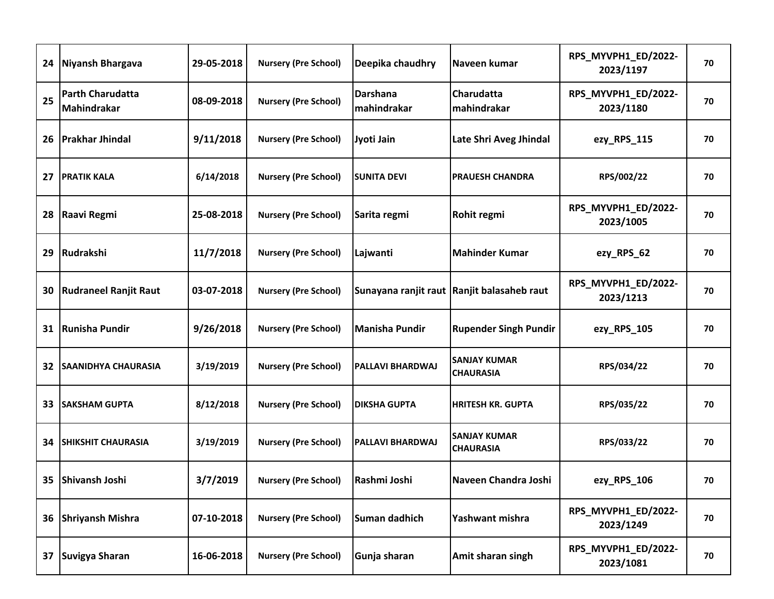|    | 24 Niyansh Bhargava                    | 29-05-2018 | <b>Nursery (Pre School)</b> | Deepika chaudhry        | Naveen kumar                                 | RPS_MYVPH1_ED/2022-<br>2023/1197 | 70 |
|----|----------------------------------------|------------|-----------------------------|-------------------------|----------------------------------------------|----------------------------------|----|
| 25 | <b>Parth Charudatta</b><br>Mahindrakar | 08-09-2018 | <b>Nursery (Pre School)</b> | Darshana<br>mahindrakar | Charudatta<br>mahindrakar                    | RPS_MYVPH1_ED/2022-<br>2023/1180 | 70 |
| 26 | <b>Prakhar Jhindal</b>                 | 9/11/2018  | <b>Nursery (Pre School)</b> | Jyoti Jain              | Late Shri Aveg Jhindal                       | ezy_RPS_115                      | 70 |
| 27 | <b>PRATIK KALA</b>                     | 6/14/2018  | <b>Nursery (Pre School)</b> | <b>SUNITA DEVI</b>      | <b>PRAUESH CHANDRA</b>                       | RPS/002/22                       | 70 |
| 28 | Raavi Regmi                            | 25-08-2018 | <b>Nursery (Pre School)</b> | Sarita regmi            | Rohit regmi                                  | RPS_MYVPH1_ED/2022-<br>2023/1005 | 70 |
| 29 | Rudrakshi                              | 11/7/2018  | <b>Nursery (Pre School)</b> | Lajwanti                | <b>Mahinder Kumar</b>                        | ezy_RPS_62                       | 70 |
| 30 | <b>Rudraneel Ranjit Raut</b>           | 03-07-2018 | <b>Nursery (Pre School)</b> |                         | Sunayana ranjit raut   Ranjit balasaheb raut | RPS_MYVPH1_ED/2022-<br>2023/1213 | 70 |
| 31 | <b>Runisha Pundir</b>                  | 9/26/2018  | <b>Nursery (Pre School)</b> | <b>Manisha Pundir</b>   | <b>Rupender Singh Pundir</b>                 | ezy_RPS_105                      | 70 |
| 32 | <b>SAANIDHYA CHAURASIA</b>             | 3/19/2019  | <b>Nursery (Pre School)</b> | <b>PALLAVI BHARDWAJ</b> | <b>SANJAY KUMAR</b><br><b>CHAURASIA</b>      | RPS/034/22                       | 70 |
| 33 | <b>SAKSHAM GUPTA</b>                   | 8/12/2018  | <b>Nursery (Pre School)</b> | <b>DIKSHA GUPTA</b>     | <b>HRITESH KR. GUPTA</b>                     | RPS/035/22                       | 70 |
| 34 | <b>SHIKSHIT CHAURASIA</b>              | 3/19/2019  | <b>Nursery (Pre School)</b> | PALLAVI BHARDWAJ        | <b>SANJAY KUMAR</b><br><b>CHAURASIA</b>      | RPS/033/22                       | 70 |
|    | 35 Shivansh Joshi                      | 3/7/2019   | <b>Nursery (Pre School)</b> | Rashmi Joshi            | Naveen Chandra Joshi                         | ezy_RPS_106                      | 70 |
|    | 36 Shriyansh Mishra                    | 07-10-2018 | <b>Nursery (Pre School)</b> | Suman dadhich           | Yashwant mishra                              | RPS_MYVPH1_ED/2022-<br>2023/1249 | 70 |
| 37 | Suvigya Sharan                         | 16-06-2018 | <b>Nursery (Pre School)</b> | Gunja sharan            | Amit sharan singh                            | RPS_MYVPH1_ED/2022-<br>2023/1081 | 70 |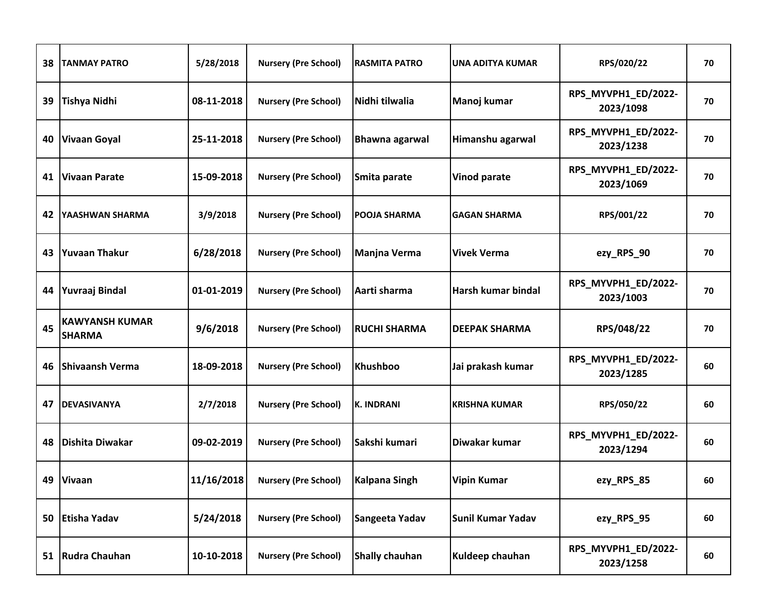| 38 | <b>TANMAY PATRO</b>                    | 5/28/2018  | <b>Nursery (Pre School)</b>          | <b>RASMITA PATRO</b>  | <b>UNA ADITYA KUMAR</b> | RPS/020/22                       | 70 |
|----|----------------------------------------|------------|--------------------------------------|-----------------------|-------------------------|----------------------------------|----|
| 39 | <b>Tishya Nidhi</b>                    | 08-11-2018 | <b>Nursery (Pre School)</b>          | Nidhi tilwalia        | Manoj kumar             | RPS_MYVPH1_ED/2022-<br>2023/1098 | 70 |
| 40 | <b>Vivaan Goyal</b>                    | 25-11-2018 | <b>Nursery (Pre School)</b>          | <b>Bhawna agarwal</b> | Himanshu agarwal        | RPS_MYVPH1_ED/2022-<br>2023/1238 | 70 |
| 41 | <b>Vivaan Parate</b>                   | 15-09-2018 | <b>Nursery (Pre School)</b>          | Smita parate          | <b>Vinod parate</b>     | RPS_MYVPH1_ED/2022-<br>2023/1069 | 70 |
| 42 | YAASHWAN SHARMA                        | 3/9/2018   | <b>Nursery (Pre School)</b>          | POOJA SHARMA          | <b>GAGAN SHARMA</b>     | RPS/001/22                       | 70 |
| 43 | <b>Yuvaan Thakur</b>                   | 6/28/2018  | <b>Nursery (Pre School)</b>          | <b>Manjna Verma</b>   | <b>Vivek Verma</b>      | ezy_RPS_90                       | 70 |
| 44 | Yuvraaj Bindal                         | 01-01-2019 | <b>Nursery (Pre School)</b>          | Aarti sharma          | Harsh kumar bindal      | RPS_MYVPH1_ED/2022-<br>2023/1003 | 70 |
| 45 | <b>KAWYANSH KUMAR</b><br><b>SHARMA</b> | 9/6/2018   | <b>Nursery (Pre School)</b>          | <b>RUCHI SHARMA</b>   | <b>DEEPAK SHARMA</b>    | RPS/048/22                       | 70 |
| 46 | <b>Shivaansh Verma</b>                 | 18-09-2018 | <b>Nursery (Pre School)</b>          | <b>Khushboo</b>       | Jai prakash kumar       | RPS_MYVPH1_ED/2022-<br>2023/1285 | 60 |
| 47 | <b>DEVASIVANYA</b>                     | 2/7/2018   | <b>Nursery (Pre School)</b>          | <b>K. INDRANI</b>     | <b>KRISHNA KUMAR</b>    | RPS/050/22                       | 60 |
| 48 | Dishita Diwakar                        | 09-02-2019 | <b>Nursery (Pre School)</b>          | Sakshi kumari         | Diwakar kumar           | RPS_MYVPH1_ED/2022-<br>2023/1294 | 60 |
|    | 49 Vivaan                              | 11/16/2018 | Nursery (Pre School)   Kalpana Singh |                       | Vipin Kumar             | ezy_RPS_85                       | 60 |
| 50 | Etisha Yadav                           | 5/24/2018  | <b>Nursery (Pre School)</b>          | Sangeeta Yadav        | Sunil Kumar Yadav       | ezy_RPS_95                       | 60 |
|    | 51 Rudra Chauhan                       | 10-10-2018 | <b>Nursery (Pre School)</b>          | <b>Shally chauhan</b> | Kuldeep chauhan         | RPS_MYVPH1_ED/2022-<br>2023/1258 | 60 |